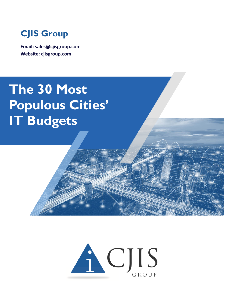

**Email: sales@cjisgroup.com Website: cjisgroup.com**

## **The 30 Most Populous Cities' IT Budgets**

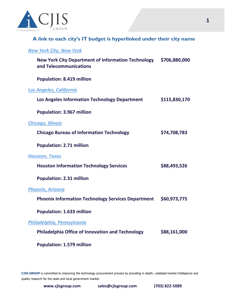

**A link to each city's IT budget is hyperlinked under their city name**

## *[New York City, New York](https://council.nyc.gov/budget/fy2022/)*

| New York City Department of Information Technology \$706,880,000<br>and Telecommunications |               |
|--------------------------------------------------------------------------------------------|---------------|
| <b>Population: 8.419 million</b>                                                           |               |
| <b>Los Angeles, California</b>                                                             |               |
| Los Angeles Information Technology Department                                              | \$115,830,170 |
| <b>Population: 3.967 million</b>                                                           |               |
| <b>Chicago, Illinois</b>                                                                   |               |
| <b>Chicago Bureau of Information Technology</b>                                            | \$74,708,783  |
| <b>Population: 2.71 million</b>                                                            |               |
| <b>Houston, Texas</b>                                                                      |               |
| <b>Houston Information Technology Services</b>                                             | \$88,493,526  |
| <b>Population: 2.31 million</b>                                                            |               |
| <b>Phoenix, Arizona</b>                                                                    |               |
| <b>Phoenix Information Technology Services Department</b>                                  | \$60,973,775  |
| <b>Population: 1.633 million</b>                                                           |               |
| Philadelphia, Pennsylvania                                                                 |               |
| <b>Philadelphia Office of Innovation and Technology</b>                                    | \$88,161,000  |
| <b>Population: 1.579 million</b>                                                           |               |

**CJIS GROUP** is committed to improving the technology procurement process by providing in depth, validated market intelligence and quality research for the state and local government market.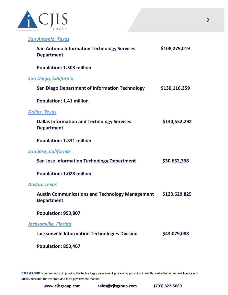

*[San Antonio, Texas](https://www.sanantonio.gov/Budget/Budget-Development#187231991-proposed-budget)*

| <b>San Antonio Information Technology Services</b><br><b>Department</b>     | \$108,279,019 |
|-----------------------------------------------------------------------------|---------------|
| <b>Population: 1.508 million</b>                                            |               |
| <u>San Diego, California</u>                                                |               |
| <b>San Diego Department of Information Technology</b>                       | \$130,116,359 |
| <b>Population: 1.41 million</b>                                             |               |
| <b>Dallas, Texas</b>                                                        |               |
| <b>Dallas Information and Technology Services</b><br><b>Department</b>      | \$130,552,292 |
| <b>Population: 1.331 million</b>                                            |               |
| San Jose, California                                                        |               |
| <b>San Jose Information Technology Department</b>                           | \$30,652,338  |
| <b>Population: 1.028 million</b>                                            |               |
| <b>Austin, Texas</b>                                                        |               |
| <b>Austin Communications and Technology Management</b><br><b>Department</b> | \$123,629,825 |
| Population: 950,807                                                         |               |
| Jacksonville, Florida                                                       |               |
| <b>Jacksonville Information Technologies Division</b>                       | \$43,079,088  |
| Population: 890,467                                                         |               |

CJIS GROUP is committed to improving the technology procurement process by providing in depth, validated market intelligence and quality research for the state and local government market.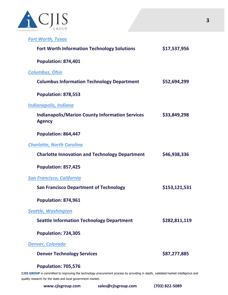

| <b>Fort Worth, Texas</b> |  |
|--------------------------|--|
|--------------------------|--|

| <b>Fort Worth Information Technology Solutions</b>                      | \$17,537,956  |
|-------------------------------------------------------------------------|---------------|
| <b>Population: 874,401</b>                                              |               |
| <b>Columbus, Ohio</b>                                                   |               |
| <b>Columbus Information Technology Department</b>                       | \$52,694,299  |
| <b>Population: 878,553</b>                                              |               |
| <u>Indianapolis, Indiana</u>                                            |               |
| <b>Indianapolis/Marion County Information Services</b><br><b>Agency</b> | \$33,849,298  |
| Population: 864,447                                                     |               |
| <b>Charlotte, North Carolina</b>                                        |               |
| <b>Charlotte Innovation and Technology Department</b>                   | \$46,938,336  |
| Population: 857,425                                                     |               |
| <u> San Francisco, California</u>                                       |               |
| <b>San Francisco Department of Technology</b>                           | \$153,121,531 |
| Population: 874,961                                                     |               |
| <u>Seattle, Washington</u>                                              |               |
| <b>Seattle Information Technology Department</b>                        | \$282,811,119 |
| <b>Population: 724,305</b>                                              |               |
| <u> Denver, Colorado</u>                                                |               |
| <b>Denver Technology Services</b>                                       | \$87,277,885  |
| <b>Population: 705,576</b>                                              |               |

CJIS GROUP is committed to improving the technology procurement process by providing in depth, validated market intelligence and quality research for the state and local government market.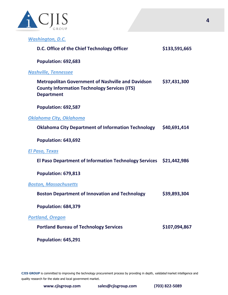

*[Washington, D.C.](https://cfo.dc.gov/node/289642)*

| D.C. Office of the Chief Technology Officer                                                                                          | \$133,591,665 |
|--------------------------------------------------------------------------------------------------------------------------------------|---------------|
| Population: 692,683                                                                                                                  |               |
| <b>Nashville, Tennessee</b>                                                                                                          |               |
| <b>Metropolitan Government of Nashville and Davidson</b><br><b>County Information Technology Services (ITS)</b><br><b>Department</b> | \$37,431,300  |
| Population: 692,587                                                                                                                  |               |
| Oklahoma City, Oklahoma                                                                                                              |               |
| <b>Oklahoma City Department of Information Technology</b>                                                                            | \$40,691,414  |
| Population: 643,692                                                                                                                  |               |
| El Paso, Texas                                                                                                                       |               |
| El Paso Department of Information Technology Services \$21,442,986                                                                   |               |
| Population: 679,813                                                                                                                  |               |
| <b>Boston, Massachusetts</b>                                                                                                         |               |
| <b>Boston Department of Innovation and Technology</b>                                                                                | \$39,893,304  |
| Population: 684,379                                                                                                                  |               |
| <b>Portland, Oregon</b>                                                                                                              |               |
| <b>Portland Bureau of Technology Services</b>                                                                                        | \$107,094,867 |
| Population: 645,291                                                                                                                  |               |

CJIS GROUP is committed to improving the technology procurement process by providing in depth, validated market intelligence and quality research for the state and local government market.